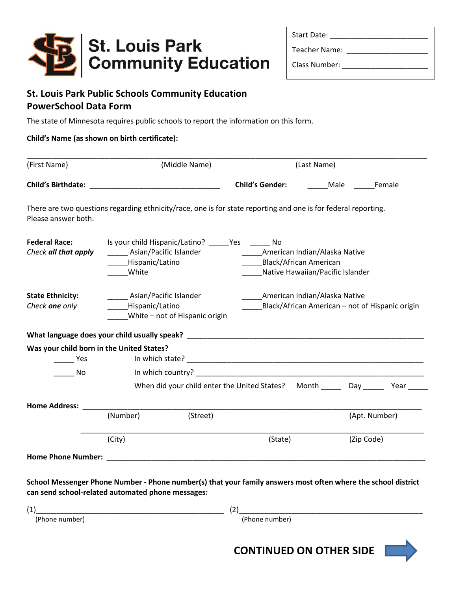

| <b>Start Date:</b> |  |  |  |
|--------------------|--|--|--|
|                    |  |  |  |

Class Number: \_\_\_\_\_\_\_\_\_\_\_\_\_\_\_\_\_\_\_\_\_

Teacher Name: \_\_\_\_\_\_\_\_\_\_\_\_\_\_\_\_\_\_\_\_

## **St. Louis Park Public Schools Community Education PowerSchool Data Form**

The state of Minnesota requires public schools to report the information on this form.

## **Child's Name (as shown on birth certificate):**

| (First Name)                                                     | (Middle Name)                                                                                                                                                   |                                                                                                    | (Last Name)    |  |  |  |
|------------------------------------------------------------------|-----------------------------------------------------------------------------------------------------------------------------------------------------------------|----------------------------------------------------------------------------------------------------|----------------|--|--|--|
|                                                                  |                                                                                                                                                                 | <b>Child's Gender:</b>                                                                             | Male<br>Female |  |  |  |
| Please answer both.                                              | There are two questions regarding ethnicity/race, one is for state reporting and one is for federal reporting.                                                  |                                                                                                    |                |  |  |  |
| <b>Federal Race:</b><br>Check all that apply                     | Is your child Hispanic/Latino? ________ Yes _________ No<br>Asian/Pacific Islander<br>Hispanic/Latino<br>White                                                  | American Indian/Alaska Native<br><b>Black/African American</b><br>Native Hawaiian/Pacific Islander |                |  |  |  |
| <b>State Ethnicity:</b><br>Check one only                        | Asian/Pacific Islander<br>American Indian/Alaska Native<br>Hispanic/Latino<br>Black/African American - not of Hispanic origin<br>White – not of Hispanic origin |                                                                                                    |                |  |  |  |
|                                                                  |                                                                                                                                                                 |                                                                                                    |                |  |  |  |
| Was your child born in the United States?<br><b>Property Yes</b> |                                                                                                                                                                 |                                                                                                    |                |  |  |  |
| No                                                               |                                                                                                                                                                 |                                                                                                    |                |  |  |  |
|                                                                  |                                                                                                                                                                 | When did your child enter the United States? Month Day Day Year                                    |                |  |  |  |
| <b>Home Address:</b>                                             |                                                                                                                                                                 |                                                                                                    |                |  |  |  |
|                                                                  | (Street)<br>(Number)                                                                                                                                            |                                                                                                    | (Apt. Number)  |  |  |  |
|                                                                  | (City)                                                                                                                                                          | (State)                                                                                            | (Zip Code)     |  |  |  |
| <b>Home Phone Number:</b>                                        |                                                                                                                                                                 |                                                                                                    |                |  |  |  |

**School Messenger Phone Number - Phone number(s) that your family answers most often where the school district can send school-related automated phone messages:**

| (1             |                       |
|----------------|-----------------------|
| (Phone number) | e number'.<br>r Phone |

**CONTINUED ON OTHER SIDE**